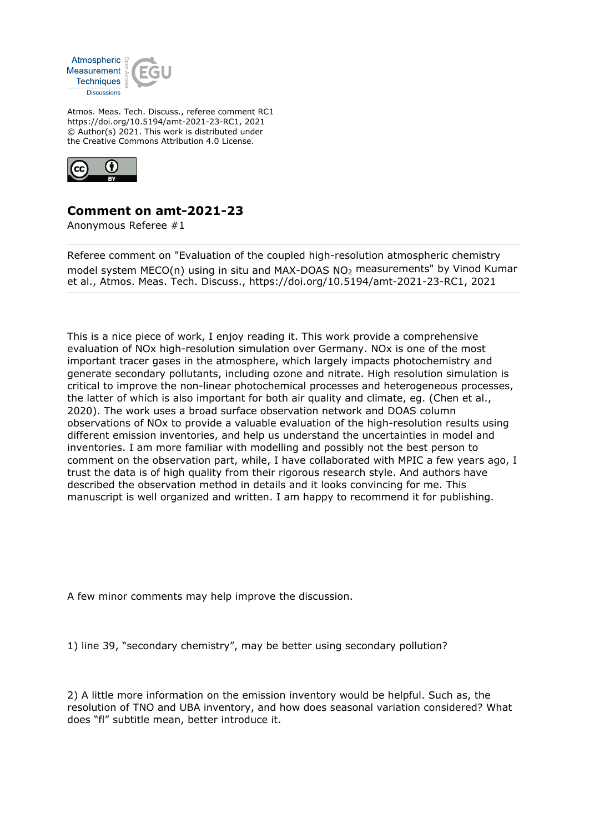

Atmos. Meas. Tech. Discuss., referee comment RC1 https://doi.org/10.5194/amt-2021-23-RC1, 2021 © Author(s) 2021. This work is distributed under the Creative Commons Attribution 4.0 License.



## **Comment on amt-2021-23**

Anonymous Referee #1

Referee comment on "Evaluation of the coupled high-resolution atmospheric chemistry model system MECO(n) using in situ and MAX-DOAS NO2 measurements" by Vinod Kumar et al., Atmos. Meas. Tech. Discuss., https://doi.org/10.5194/amt-2021-23-RC1, 2021

This is a nice piece of work, I enjoy reading it. This work provide a comprehensive evaluation of NOx high-resolution simulation over Germany. NOx is one of the most important tracer gases in the atmosphere, which largely impacts photochemistry and generate secondary pollutants, including ozone and nitrate. High resolution simulation is critical to improve the non-linear photochemical processes and heterogeneous processes, the latter of which is also important for both air quality and climate, eg. (Chen et al., 2020). The work uses a broad surface observation network and DOAS column observations of NOx to provide a valuable evaluation of the high-resolution results using different emission inventories, and help us understand the uncertainties in model and inventories. I am more familiar with modelling and possibly not the best person to comment on the observation part, while, I have collaborated with MPIC a few years ago, I trust the data is of high quality from their rigorous research style. And authors have described the observation method in details and it looks convincing for me. This manuscript is well organized and written. I am happy to recommend it for publishing.

A few minor comments may help improve the discussion.

1) line 39, "secondary chemistry", may be better using secondary pollution?

2) A little more information on the emission inventory would be helpful. Such as, the resolution of TNO and UBA inventory, and how does seasonal variation considered? What does "fl" subtitle mean, better introduce it.